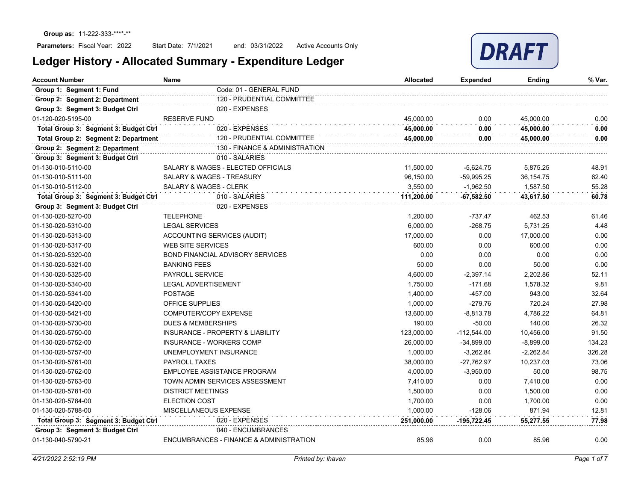

| <b>Account Number</b>                 | <b>Name</b>                                 | <b>Allocated</b> | Expended      | Ending      | % Var. |
|---------------------------------------|---------------------------------------------|------------------|---------------|-------------|--------|
| Group 1: Segment 1: Fund              | Code: 01 - GENERAL FUND                     |                  |               |             |        |
| Group 2: Segment 2: Department        | 120 - PRUDENTIAL COMMITTEE                  |                  |               |             |        |
| Group 3: Segment 3: Budget Ctrl       | 020 - EXPENSES                              |                  |               |             |        |
| 01-120-020-5195-00                    | <b>RESERVE FUND</b>                         | 45,000.00        | 0.00          | 45.000.00   | 0.00   |
| Total Group 3: Segment 3: Budget Ctrl | 020 - EXPENSES                              | 45,000.00        | 0.00          | 45,000.00   | 0.00   |
| Total Group 2: Segment 2: Department  | 120 - PRUDENTIAL COMMITTEE                  | 45.000.00        | 0.00          | 45,000.00   | 0.00   |
| Group 2: Segment 2: Department        | 130 - FINANCE & ADMINISTRATION              |                  |               |             |        |
| Group 3: Segment 3: Budget Ctrl       | 010 - SALARIES                              |                  |               |             |        |
| 01-130-010-5110-00                    | SALARY & WAGES - ELECTED OFFICIALS          | 11,500.00        | $-5,624.75$   | 5,875.25    | 48.91  |
| 01-130-010-5111-00                    | <b>SALARY &amp; WAGES - TREASURY</b>        | 96,150.00        | $-59,995.25$  | 36,154.75   | 62.40  |
| 01-130-010-5112-00                    | <b>SALARY &amp; WAGES - CLERK</b>           | 3,550.00         | $-1.962.50$   | 1.587.50    | 55.28  |
| Total Group 3: Segment 3: Budget Ctrl | 010 - SALARIES                              | 111,200.00       | $-67,582.50$  | 43,617.50   | 60.78  |
| Group 3: Segment 3: Budget Ctrl       | 020 - EXPENSES                              |                  |               |             |        |
| 01-130-020-5270-00                    | <b>TELEPHONE</b>                            | 1,200.00         | $-737.47$     | 462.53      | 61.46  |
| 01-130-020-5310-00                    | <b>LEGAL SERVICES</b>                       | 6,000.00         | $-268.75$     | 5,731.25    | 4.48   |
| 01-130-020-5313-00                    | ACCOUNTING SERVICES (AUDIT)                 | 17,000.00        | 0.00          | 17,000.00   | 0.00   |
| 01-130-020-5317-00                    | <b>WEB SITE SERVICES</b>                    | 600.00           | 0.00          | 600.00      | 0.00   |
| 01-130-020-5320-00                    | <b>BOND FINANCIAL ADVISORY SERVICES</b>     | 0.00             | 0.00          | 0.00        | 0.00   |
| 01-130-020-5321-00                    | <b>BANKING FEES</b>                         | 50.00            | 0.00          | 50.00       | 0.00   |
| 01-130-020-5325-00                    | PAYROLL SERVICE                             | 4,600.00         | $-2,397.14$   | 2,202.86    | 52.11  |
| 01-130-020-5340-00                    | <b>LEGAL ADVERTISEMENT</b>                  | 1,750.00         | $-171.68$     | 1,578.32    | 9.81   |
| 01-130-020-5341-00                    | <b>POSTAGE</b>                              | 1,400.00         | $-457.00$     | 943.00      | 32.64  |
| 01-130-020-5420-00                    | <b>OFFICE SUPPLIES</b>                      | 1,000.00         | $-279.76$     | 720.24      | 27.98  |
| 01-130-020-5421-00                    | COMPUTER/COPY EXPENSE                       | 13,600.00        | $-8,813.78$   | 4,786.22    | 64.81  |
| 01-130-020-5730-00                    | <b>DUES &amp; MEMBERSHIPS</b>               | 190.00           | $-50.00$      | 140.00      | 26.32  |
| 01-130-020-5750-00                    | <b>INSURANCE - PROPERTY &amp; LIABILITY</b> | 123,000.00       | $-112,544.00$ | 10,456.00   | 91.50  |
| 01-130-020-5752-00                    | <b>INSURANCE - WORKERS COMP</b>             | 26,000.00        | $-34,899.00$  | $-8,899.00$ | 134.23 |
| 01-130-020-5757-00                    | UNEMPLOYMENT INSURANCE                      | 1,000.00         | $-3,262.84$   | $-2,262.84$ | 326.28 |
| 01-130-020-5761-00                    | PAYROLL TAXES                               | 38,000.00        | $-27,762.97$  | 10,237.03   | 73.06  |
| 01-130-020-5762-00                    | EMPLOYEE ASSISTANCE PROGRAM                 | 4,000.00         | $-3,950.00$   | 50.00       | 98.75  |
| 01-130-020-5763-00                    | TOWN ADMIN SERVICES ASSESSMENT              | 7,410.00         | 0.00          | 7,410.00    | 0.00   |
| 01-130-020-5781-00                    | <b>DISTRICT MEETINGS</b>                    | 1,500.00         | 0.00          | 1,500.00    | 0.00   |
| 01-130-020-5784-00                    | <b>ELECTION COST</b>                        | 1,700.00         | 0.00          | 1,700.00    | 0.00   |
| 01-130-020-5788-00                    | MISCELLANEOUS EXPENSE                       | 1,000.00         | $-128.06$     | 871.94      | 12.81  |
| Total Group 3: Segment 3: Budget Ctrl | 020 - EXPENSES                              | 251,000.00       | -195,722.45   | 55,277.55   | 77.98  |
| Group 3: Segment 3: Budget Ctrl       | 040 - ENCUMBRANCES                          |                  |               |             |        |
| 01-130-040-5790-21                    | ENCUMBRANCES - FINANCE & ADMINISTRATION     | 85.96            | 0.00          | 85.96       | 0.00   |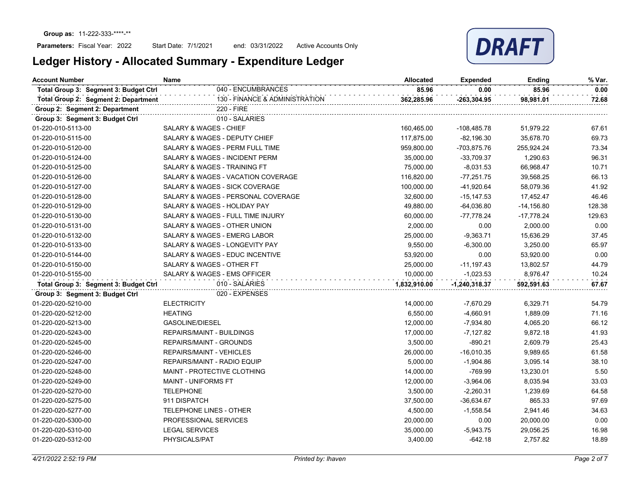

| <b>Account Number</b>                 | <b>Name</b>                        | <b>Allocated</b> | <b>Expended</b>   | Ending       | % Var. |
|---------------------------------------|------------------------------------|------------------|-------------------|--------------|--------|
| Total Group 3: Segment 3: Budget Ctrl | 040 - ENCUMBRANCES                 | 85.96            | 0.00              | 85.96        | 0.00   |
| Total Group 2: Segment 2: Department  | 130 - FINANCE & ADMINISTRATION     | 362,285.96       | $-263,304.95$     | 98,981.01    | 72.68  |
| Group 2: Segment 2: Department        | 220 - FIRE                         |                  |                   |              |        |
| Group 3: Segment 3: Budget Ctrl       | 010 - SALARIES                     |                  |                   |              |        |
| 01-220-010-5113-00                    | <b>SALARY &amp; WAGES - CHIEF</b>  | 160,465.00       | -108,485.78       | 51,979.22    | 67.61  |
| 01-220-010-5115-00                    | SALARY & WAGES - DEPUTY CHIEF      | 117,875.00       | $-82,196.30$      | 35,678.70    | 69.73  |
| 01-220-010-5120-00                    | SALARY & WAGES - PERM FULL TIME    | 959,800.00       | -703,875.76       | 255,924.24   | 73.34  |
| 01-220-010-5124-00                    | SALARY & WAGES - INCIDENT PERM     | 35,000.00        | $-33,709.37$      | 1,290.63     | 96.31  |
| 01-220-010-5125-00                    | SALARY & WAGES - TRAINING FT       | 75,000.00        | $-8,031.53$       | 66,968.47    | 10.71  |
| 01-220-010-5126-00                    | SALARY & WAGES - VACATION COVERAGE | 116,820.00       | $-77,251.75$      | 39,568.25    | 66.13  |
| 01-220-010-5127-00                    | SALARY & WAGES - SICK COVERAGE     | 100,000.00       | -41,920.64        | 58,079.36    | 41.92  |
| 01-220-010-5128-00                    | SALARY & WAGES - PERSONAL COVERAGE | 32,600.00        | $-15, 147.53$     | 17,452.47    | 46.46  |
| 01-220-010-5129-00                    | SALARY & WAGES - HOLIDAY PAY       | 49,880.00        | $-64,036.80$      | $-14,156.80$ | 128.38 |
| 01-220-010-5130-00                    | SALARY & WAGES - FULL TIME INJURY  | 60,000.00        | $-77,778.24$      | $-17,778.24$ | 129.63 |
| 01-220-010-5131-00                    | SALARY & WAGES - OTHER UNION       | 2,000.00         | 0.00              | 2,000.00     | 0.00   |
| 01-220-010-5132-00                    | SALARY & WAGES - EMERG LABOR       | 25,000.00        | $-9,363.71$       | 15,636.29    | 37.45  |
| 01-220-010-5133-00                    | SALARY & WAGES - LONGEVITY PAY     | 9,550.00         | $-6,300.00$       | 3,250.00     | 65.97  |
| 01-220-010-5144-00                    | SALARY & WAGES - EDUC INCENTIVE    | 53,920.00        | 0.00              | 53,920.00    | 0.00   |
| 01-220-010-5150-00                    | SALARY & WAGES - OTHER FT          | 25,000.00        | $-11,197.43$      | 13,802.57    | 44.79  |
| 01-220-010-5155-00                    | SALARY & WAGES - EMS OFFICER       | 10,000.00        | $-1,023.53$       | 8,976.47     | 10.24  |
| Total Group 3: Segment 3: Budget Ctrl | 010 - SALARIES                     | 1,832,910.00     | $-1, 240, 318.37$ | 592,591.63   | 67.67  |
| Group 3: Segment 3: Budget Ctrl       | 020 - EXPENSES                     |                  |                   |              |        |
| 01-220-020-5210-00                    | <b>ELECTRICITY</b>                 | 14,000.00        | $-7,670.29$       | 6,329.71     | 54.79  |
| 01-220-020-5212-00                    | <b>HEATING</b>                     | 6,550.00         | $-4,660.91$       | 1,889.09     | 71.16  |
| 01-220-020-5213-00                    | GASOLINE/DIESEL                    | 12,000.00        | $-7,934.80$       | 4,065.20     | 66.12  |
| 01-220-020-5243-00                    | <b>REPAIRS/MAINT - BUILDINGS</b>   | 17,000.00        | $-7,127.82$       | 9,872.18     | 41.93  |
| 01-220-020-5245-00                    | REPAIRS/MAINT - GROUNDS            | 3,500.00         | $-890.21$         | 2,609.79     | 25.43  |
| 01-220-020-5246-00                    | <b>REPAIRS/MAINT - VEHICLES</b>    | 26,000.00        | $-16,010.35$      | 9,989.65     | 61.58  |
| 01-220-020-5247-00                    | <b>REPAIRS/MAINT - RADIO EQUIP</b> | 5,000.00         | $-1,904.86$       | 3,095.14     | 38.10  |
| 01-220-020-5248-00                    | MAINT - PROTECTIVE CLOTHING        | 14,000.00        | $-769.99$         | 13,230.01    | 5.50   |
| 01-220-020-5249-00                    | MAINT - UNIFORMS FT                | 12,000.00        | $-3,964.06$       | 8,035.94     | 33.03  |
| 01-220-020-5270-00                    | <b>TELEPHONE</b>                   | 3,500.00         | $-2,260.31$       | 1,239.69     | 64.58  |
| 01-220-020-5275-00                    | 911 DISPATCH                       | 37,500.00        | $-36,634.67$      | 865.33       | 97.69  |
| 01-220-020-5277-00                    | TELEPHONE LINES - OTHER            | 4,500.00         | $-1,558.54$       | 2,941.46     | 34.63  |
| 01-220-020-5300-00                    | PROFESSIONAL SERVICES              | 20,000.00        | 0.00              | 20,000.00    | 0.00   |
| 01-220-020-5310-00                    | <b>LEGAL SERVICES</b>              | 35,000.00        | $-5,943.75$       | 29,056.25    | 16.98  |
| 01-220-020-5312-00                    | PHYSICALS/PAT                      | 3,400.00         | $-642.18$         | 2,757.82     | 18.89  |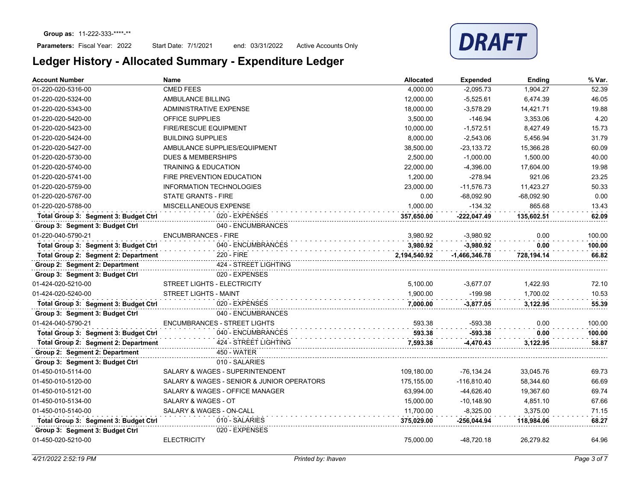

| <b>Account Number</b>                 | <b>Name</b>                                | <b>Allocated</b> | <b>Expended</b> | <b>Ending</b> | % Var. |
|---------------------------------------|--------------------------------------------|------------------|-----------------|---------------|--------|
| 01-220-020-5316-00                    | <b>CMED FEES</b>                           | 4,000.00         | $-2,095.73$     | 1,904.27      | 52.39  |
| 01-220-020-5324-00                    | AMBULANCE BILLING                          | 12,000.00        | $-5,525.61$     | 6,474.39      | 46.05  |
| 01-220-020-5343-00                    | ADMINISTRATIVE EXPENSE                     | 18,000.00        | $-3,578.29$     | 14,421.71     | 19.88  |
| 01-220-020-5420-00                    | <b>OFFICE SUPPLIES</b>                     | 3,500.00         | $-146.94$       | 3,353.06      | 4.20   |
| 01-220-020-5423-00                    | <b>FIRE/RESCUE EQUIPMENT</b>               | 10,000.00        | $-1,572.51$     | 8,427.49      | 15.73  |
| 01-220-020-5424-00                    | <b>BUILDING SUPPLIES</b>                   | 8,000.00         | $-2,543.06$     | 5,456.94      | 31.79  |
| 01-220-020-5427-00                    | AMBULANCE SUPPLIES/EQUIPMENT               | 38,500.00        | $-23,133.72$    | 15,366.28     | 60.09  |
| 01-220-020-5730-00                    | <b>DUES &amp; MEMBERSHIPS</b>              | 2,500.00         | $-1,000.00$     | 1,500.00      | 40.00  |
| 01-220-020-5740-00                    | <b>TRAINING &amp; EDUCATION</b>            | 22.000.00        | $-4.396.00$     | 17,604.00     | 19.98  |
| 01-220-020-5741-00                    | FIRE PREVENTION EDUCATION                  | 1.200.00         | $-278.94$       | 921.06        | 23.25  |
| 01-220-020-5759-00                    | <b>INFORMATION TECHNOLOGIES</b>            | 23,000.00        | $-11,576.73$    | 11,423.27     | 50.33  |
| 01-220-020-5767-00                    | <b>STATE GRANTS - FIRE</b>                 | 0.00             | $-68,092.90$    | $-68,092.90$  | 0.00   |
| 01-220-020-5788-00                    | MISCELLANEOUS EXPENSE                      | 1.000.00         | $-134.32$       | 865.68        | 13.43  |
| Total Group 3: Segment 3: Budget Ctrl | 020 - EXPENSES                             | 357.650.00       | $-222.047.49$   | 135.602.51    | 62.09  |
| Group 3: Segment 3: Budget Ctrl       | 040 - ENCUMBRANCES                         |                  |                 |               |        |
| 01-220-040-5790-21                    | <b>ENCUMBRANCES - FIRE</b>                 | 3,980.92         | $-3,980.92$     | 0.00          | 100.00 |
| Total Group 3: Segment 3: Budget Ctrl | 040 - ENCUMBRANCES                         | 3.980.92         | $-3.980.92$     | 0.00          | 100.00 |
| Total Group 2: Segment 2: Department  | 220 - FIRE                                 | 2,194,540.92     | $-1,466,346.78$ | 728,194.14    | 66.82  |
| Group 2: Segment 2: Department        | 424 - STREET LIGHTING                      |                  |                 |               |        |
| Group 3: Segment 3: Budget Ctrl       | 020 - EXPENSES                             |                  |                 |               |        |
| 01-424-020-5210-00                    | STREET LIGHTS - ELECTRICITY                | 5,100.00         | $-3,677.07$     | 1,422.93      | 72.10  |
| 01-424-020-5240-00                    | <b>STREET LIGHTS - MAINT</b>               | 1,900.00         | $-199.98$       | 1,700.02      | 10.53  |
| Total Group 3: Segment 3: Budget Ctrl | 020 - EXPENSES                             | 7,000.00         | $-3,877.05$     | 3,122.95      | 55.39  |
| Group 3: Segment 3: Budget Ctrl       | 040 - ENCUMBRANCES                         |                  |                 |               |        |
| 01-424-040-5790-21                    | <b>ENCUMBRANCES - STREET LIGHTS</b>        | 593.38           | $-593.38$       | 0.00          | 100.00 |
| Total Group 3: Segment 3: Budget Ctrl | 040 - ENCUMBRANCES                         | 593.38           | $-593.38$       | 0.00          | 100.00 |
| Total Group 2: Segment 2: Department  | 424 - STREET LIGHTING                      | 7.593.38         | -4,470.43       | 3.122.95      | 58.87  |
| Group 2: Segment 2: Department        | <b>450 - WATER</b>                         |                  |                 |               |        |
| Group 3: Segment 3: Budget Ctrl       | 010 - SALARIES                             |                  |                 |               |        |
| 01-450-010-5114-00                    | <b>SALARY &amp; WAGES - SUPERINTENDENT</b> | 109,180.00       | $-76, 134.24$   | 33,045.76     | 69.73  |
| 01-450-010-5120-00                    | SALARY & WAGES - SENIOR & JUNIOR OPERATORS | 175.155.00       | $-116.810.40$   | 58,344.60     | 66.69  |
| 01-450-010-5121-00                    | SALARY & WAGES - OFFICE MANAGER            | 63,994.00        | -44,626.40      | 19.367.60     | 69.74  |
| 01-450-010-5134-00                    | SALARY & WAGES - OT                        | 15,000.00        | $-10,148.90$    | 4,851.10      | 67.66  |
| 01-450-010-5140-00                    | SALARY & WAGES - ON-CALL                   | 11,700.00        | $-8,325.00$     | 3,375.00      | 71.15  |
| Total Group 3: Segment 3: Budget Ctrl | 010 - SALARIES                             | 375,029.00       | -256,044.94     | 118,984.06    | 68.27  |
| Group 3: Segment 3: Budget Ctrl       | 020 - EXPENSES                             |                  |                 |               |        |
| 01-450-020-5210-00                    | <b>ELECTRICITY</b>                         | 75,000.00        | -48,720.18      | 26,279.82     | 64.96  |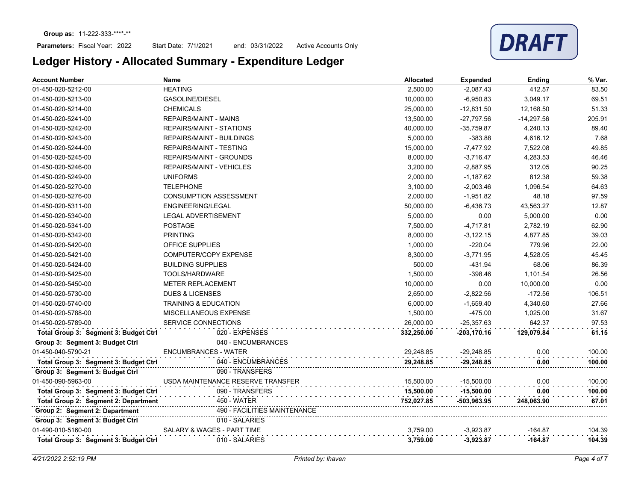## Parameters: Fiscal Year: 2022

Start Date: 7/1/2021 end: 03/31/2022 Active Accounts Only

| <b>Account Number</b>                 | <b>Name</b>                       | <b>Allocated</b> | <b>Expended</b> | Ending       | % Var. |
|---------------------------------------|-----------------------------------|------------------|-----------------|--------------|--------|
| 01-450-020-5212-00                    | <b>HEATING</b>                    | 2,500.00         | $-2,087.43$     | 412.57       | 83.50  |
| 01-450-020-5213-00                    | <b>GASOLINE/DIESEL</b>            | 10,000.00        | $-6,950.83$     | 3,049.17     | 69.51  |
| 01-450-020-5214-00                    | <b>CHEMICALS</b>                  | 25,000.00        | $-12,831.50$    | 12,168.50    | 51.33  |
| 01-450-020-5241-00                    | <b>REPAIRS/MAINT - MAINS</b>      | 13,500.00        | $-27,797.56$    | $-14,297.56$ | 205.91 |
| 01-450-020-5242-00                    | <b>REPAIRS/MAINT - STATIONS</b>   | 40,000.00        | $-35,759.87$    | 4,240.13     | 89.40  |
| 01-450-020-5243-00                    | <b>REPAIRS/MAINT - BUILDINGS</b>  | 5,000.00         | $-383.88$       | 4,616.12     | 7.68   |
| 01-450-020-5244-00                    | <b>REPAIRS/MAINT - TESTING</b>    | 15,000.00        | $-7,477.92$     | 7,522.08     | 49.85  |
| 01-450-020-5245-00                    | <b>REPAIRS/MAINT - GROUNDS</b>    | 8,000.00         | $-3,716.47$     | 4,283.53     | 46.46  |
| 01-450-020-5246-00                    | REPAIRS/MAINT - VEHICLES          | 3,200.00         | $-2,887.95$     | 312.05       | 90.25  |
| 01-450-020-5249-00                    | <b>UNIFORMS</b>                   | 2,000.00         | $-1,187.62$     | 812.38       | 59.38  |
| 01-450-020-5270-00                    | <b>TELEPHONE</b>                  | 3,100.00         | $-2,003.46$     | 1,096.54     | 64.63  |
| 01-450-020-5276-00                    | <b>CONSUMPTION ASSESSMENT</b>     | 2,000.00         | $-1,951.82$     | 48.18        | 97.59  |
| 01-450-020-5311-00                    | <b>ENGINEERING/LEGAL</b>          | 50,000.00        | $-6,436.73$     | 43,563.27    | 12.87  |
| 01-450-020-5340-00                    | <b>LEGAL ADVERTISEMENT</b>        | 5,000.00         | 0.00            | 5,000.00     | 0.00   |
| 01-450-020-5341-00                    | <b>POSTAGE</b>                    | 7,500.00         | $-4,717.81$     | 2,782.19     | 62.90  |
| 01-450-020-5342-00                    | <b>PRINTING</b>                   | 8,000.00         | $-3,122.15$     | 4,877.85     | 39.03  |
| 01-450-020-5420-00                    | OFFICE SUPPLIES                   | 1,000.00         | $-220.04$       | 779.96       | 22.00  |
| 01-450-020-5421-00                    | <b>COMPUTER/COPY EXPENSE</b>      | 8,300.00         | $-3,771.95$     | 4,528.05     | 45.45  |
| 01-450-020-5424-00                    | <b>BUILDING SUPPLIES</b>          | 500.00           | $-431.94$       | 68.06        | 86.39  |
| 01-450-020-5425-00                    | TOOLS/HARDWARE                    | 1,500.00         | $-398.46$       | 1,101.54     | 26.56  |
| 01-450-020-5450-00                    | <b>METER REPLACEMENT</b>          | 10,000.00        | 0.00            | 10,000.00    | 0.00   |
| 01-450-020-5730-00                    | <b>DUES &amp; LICENSES</b>        | 2,650.00         | $-2,822.56$     | $-172.56$    | 106.51 |
| 01-450-020-5740-00                    | TRAINING & EDUCATION              | 6,000.00         | $-1,659.40$     | 4,340.60     | 27.66  |
| 01-450-020-5788-00                    | MISCELLANEOUS EXPENSE             | 1,500.00         | $-475.00$       | 1,025.00     | 31.67  |
| 01-450-020-5789-00                    | SERVICE CONNECTIONS               | 26,000.00        | $-25,357.63$    | 642.37       | 97.53  |
| Total Group 3: Segment 3: Budget Ctrl | 020 - EXPENSES                    | 332,250.00       | $-203, 170.16$  | 129,079.84   | 61.15  |
| Group 3: Segment 3: Budget Ctrl       | 040 - ENCUMBRANCES                |                  |                 |              |        |
| 01-450-040-5790-21                    | <b>ENCUMBRANCES - WATER</b>       | 29,248.85        | $-29,248.85$    | 0.00         | 100.00 |
| Total Group 3: Segment 3: Budget Ctrl | 040 - ENCUMBRANCES                | 29,248.85        | $-29,248.85$    | 0.00         | 100.00 |
| Group 3: Segment 3: Budget Ctrl       | 090 - TRANSFERS                   |                  |                 |              |        |
| 01-450-090-5963-00                    | USDA MAINTENANCE RESERVE TRANSFER | 15,500.00        | $-15,500.00$    | 0.00         | 100.00 |
| Total Group 3: Segment 3: Budget Ctrl | 090 - TRANSFERS                   | 15,500.00        | $-15,500.00$    | 0.00         | 100.00 |
| Total Group 2: Segment 2: Department  | <b>450 - WATER</b>                | 752,027.85       | -503,963.95     | 248,063.90   | 67.01  |
| Group 2: Segment 2: Department        | 490 - FACILITIES MAINTENANCE      |                  |                 |              |        |
| Group 3: Segment 3: Budget Ctrl       | 010 - SALARIES                    |                  |                 |              |        |
| 01-490-010-5160-00                    | SALARY & WAGES - PART TIME        | 3,759.00         | $-3,923.87$     | $-164.87$    | 104.39 |
| Total Group 3: Segment 3: Budget Ctrl | 010 - SALARIES                    | 3,759.00         | $-3,923.87$     | $-164.87$    | 104.39 |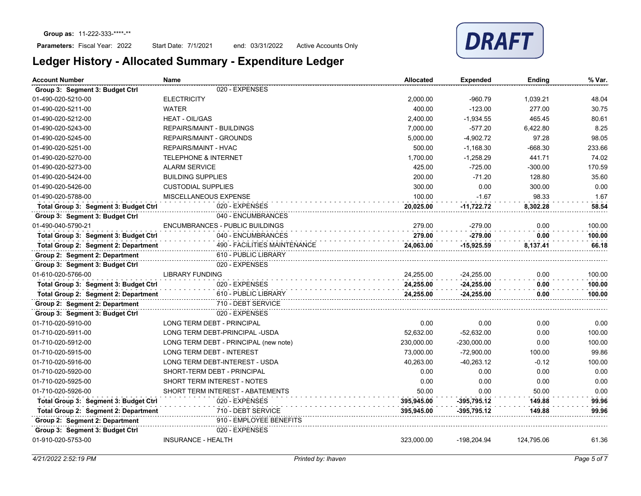

| <b>Account Number</b>                 | Name                                   | <b>Allocated</b> | <b>Expended</b> | <b>Ending</b> | % Var. |
|---------------------------------------|----------------------------------------|------------------|-----------------|---------------|--------|
| Group 3: Segment 3: Budget Ctrl       | 020 - EXPENSES                         |                  |                 |               |        |
| 01-490-020-5210-00                    | <b>ELECTRICITY</b>                     | 2,000.00         | $-960.79$       | 1,039.21      | 48.04  |
| 01-490-020-5211-00                    | <b>WATER</b>                           | 400.00           | $-123.00$       | 277.00        | 30.75  |
| 01-490-020-5212-00                    | <b>HEAT - OIL/GAS</b>                  | 2.400.00         | $-1,934.55$     | 465.45        | 80.61  |
| 01-490-020-5243-00                    | <b>REPAIRS/MAINT - BUILDINGS</b>       | 7,000.00         | $-577.20$       | 6,422.80      | 8.25   |
| 01-490-020-5245-00                    | <b>REPAIRS/MAINT - GROUNDS</b>         | 5,000.00         | $-4,902.72$     | 97.28         | 98.05  |
| 01-490-020-5251-00                    | <b>REPAIRS/MAINT - HVAC</b>            | 500.00           | $-1,168.30$     | $-668.30$     | 233.66 |
| 01-490-020-5270-00                    | <b>TELEPHONE &amp; INTERNET</b>        | 1,700.00         | $-1,258.29$     | 441.71        | 74.02  |
| 01-490-020-5273-00                    | <b>ALARM SERVICE</b>                   | 425.00           | $-725.00$       | $-300.00$     | 170.59 |
| 01-490-020-5424-00                    | <b>BUILDING SUPPLIES</b>               | 200.00           | $-71.20$        | 128.80        | 35.60  |
| 01-490-020-5426-00                    | <b>CUSTODIAL SUPPLIES</b>              | 300.00           | 0.00            | 300.00        | 0.00   |
| 01-490-020-5788-00                    | MISCELLANEOUS EXPENSE                  | 100.00           | $-1.67$         | 98.33         | 1.67   |
| Total Group 3: Segment 3: Budget Ctrl | 020 - EXPENSES                         | 20,025.00        | $-11,722.72$    | 8,302.28      | 58.54  |
| Group 3: Segment 3: Budget Ctrl       | 040 - ENCUMBRANCES                     |                  |                 |               |        |
| 01-490-040-5790-21                    | <b>ENCUMBRANCES - PUBLIC BUILDINGS</b> | 279.00           | $-279.00$       | 0.00          | 100.00 |
| Total Group 3: Segment 3: Budget Ctrl | 040 - ENCUMBRANCES                     | 279.00           | $-279.00$       | 0.00          | 100.00 |
| Total Group 2: Segment 2: Department  | 490 - FACILITIES MAINTENANCE           | 24,063.00        | $-15,925.59$    | 8,137.41      | 66.18  |
| Group 2: Segment 2: Department        | 610 - PUBLIC LIBRARY                   |                  |                 |               |        |
| Group 3: Segment 3: Budget Ctrl       | 020 - EXPENSES                         |                  |                 |               |        |
| 01-610-020-5766-00                    | <b>LIBRARY FUNDING</b>                 | 24,255.00        | $-24,255.00$    | 0.00          | 100.00 |
| Total Group 3: Segment 3: Budget Ctrl | 020 - EXPENSES                         | 24,255.00        | $-24,255.00$    | 0.00          | 100.00 |
| Total Group 2: Segment 2: Department  | 610 - PUBLIC LIBRARY                   | 24,255.00        | $-24,255.00$    | 0.00          | 100.00 |
| Group 2: Segment 2: Department        | 710 - DEBT SERVICE                     |                  |                 |               |        |
| Group 3: Segment 3: Budget Ctrl       | 020 - EXPENSES                         |                  |                 |               |        |
| 01-710-020-5910-00                    | <b>LONG TERM DEBT - PRINCIPAL</b>      | 0.00             | 0.00            | 0.00          | 0.00   |
| 01-710-020-5911-00                    | LONG TERM DEBT-PRINCIPAL -USDA         | 52,632.00        | $-52,632.00$    | 0.00          | 100.00 |
| 01-710-020-5912-00                    | LONG TERM DEBT - PRINCIPAL (new note)  | 230,000.00       | $-230,000.00$   | 0.00          | 100.00 |
| 01-710-020-5915-00                    | <b>LONG TERM DEBT - INTEREST</b>       | 73,000.00        | $-72,900.00$    | 100.00        | 99.86  |
| 01-710-020-5916-00                    | LONG TERM DEBT-INTEREST - USDA         | 40,263.00        | $-40,263.12$    | $-0.12$       | 100.00 |
| 01-710-020-5920-00                    | SHORT-TERM DEBT - PRINCIPAL            | 0.00             | 0.00            | 0.00          | 0.00   |
| 01-710-020-5925-00                    | <b>SHORT TERM INTEREST - NOTES</b>     | 0.00             | 0.00            | 0.00          | 0.00   |
| 01-710-020-5926-00                    | SHORT TERM INTEREST - ABATEMENTS       | 50.00            | 0.00            | 50.00         | 0.00   |
| Total Group 3: Segment 3: Budget Ctrl | 020 - EXPENSES                         | 395,945.00       | $-395,795.12$   | 149.88        | 99.96  |
| Total Group 2: Segment 2: Department  | 710 - DEBT SERVICE                     | 395,945.00       | $-395,795.12$   | 149.88        | 99.96  |
| Group 2: Segment 2: Department        | 910 - EMPLOYEE BENEFITS                |                  |                 |               |        |
| Group 3: Segment 3: Budget Ctrl       | 020 - EXPENSES                         |                  |                 |               |        |
| 01-910-020-5753-00                    | <b>INSURANCE - HEALTH</b>              | 323,000.00       | -198,204.94     | 124,795.06    | 61.36  |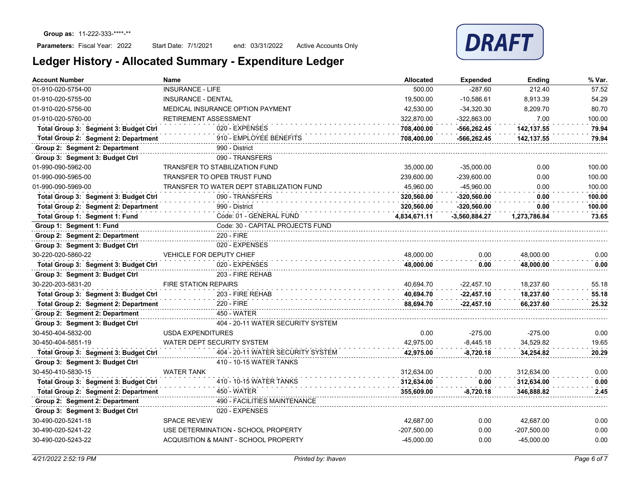

| <b>Account Number</b>                 | <b>Name</b>                               | <b>Allocated</b> | <b>Expended</b> | <b>Ending</b> | % Var. |
|---------------------------------------|-------------------------------------------|------------------|-----------------|---------------|--------|
| 01-910-020-5754-00                    | <b>INSURANCE - LIFE</b>                   | 500.00           | $-287.60$       | 212.40        | 57.52  |
| 01-910-020-5755-00                    | <b>INSURANCE - DENTAL</b>                 | 19,500.00        | $-10,586.61$    | 8,913.39      | 54.29  |
| 01-910-020-5756-00                    | MEDICAL INSURANCE OPTION PAYMENT          | 42,530.00        | $-34,320.30$    | 8,209.70      | 80.70  |
| 01-910-020-5760-00                    | RETIREMENT ASSESSMENT                     | 322,870.00       | -322,863.00     | 7.00          | 100.00 |
| Total Group 3: Segment 3: Budget Ctrl | 020 - EXPENSES                            | 708,400.00       | $-566, 262.45$  | 142,137.55    | 79.94  |
| Total Group 2: Segment 2: Department  | 910 - EMPLOYEE BENEFITS                   | 708,400.00       | -566,262.45     | 142,137.55    | 79.94  |
| Group 2: Segment 2: Department        | 990 - District                            |                  |                 |               |        |
| Group 3: Segment 3: Budget Ctrl       | 090 - TRANSFERS                           |                  |                 |               |        |
| 01-990-090-5962-00                    | TRANSFER TO STABILIZATION FUND            | 35,000.00        | $-35,000.00$    | 0.00          | 100.00 |
| 01-990-090-5965-00                    | TRANSFER TO OPEB TRUST FUND               | 239,600.00       | $-239,600.00$   | 0.00          | 100.00 |
| 01-990-090-5969-00                    | TRANSFER TO WATER DEPT STABILIZATION FUND | 45.960.00        | -45.960.00      | 0.00          | 100.00 |
| Total Group 3: Segment 3: Budget Ctrl | 090 - TRANSFERS                           | 320.560.00       | $-320,560.00$   | 0.00          | 100.00 |
| Total Group 2: Segment 2: Department  | 990 - District                            | 320.560.00       | $-320,560.00$   | 0.00          | 100.00 |
| Total Group 1: Segment 1: Fund        | Code: 01 - GENERAL FUND                   | 4,834,671.11     | $-3,560,884.27$ | 1,273,786.84  | 73.65  |
| Group 1: Segment 1: Fund              | Code: 30 - CAPITAL PROJECTS FUND          |                  |                 |               |        |
| Group 2: Segment 2: Department        | 220 - FIRE                                |                  |                 |               |        |
| Group 3: Segment 3: Budget Ctrl       | 020 - EXPENSES                            |                  |                 |               |        |
| 30-220-020-5860-22                    | VEHICLE FOR DEPUTY CHIEF                  | 48,000.00        | 0.00            | 48,000.00     | 0.00   |
| Total Group 3: Segment 3: Budget Ctrl | 020 - EXPENSES                            | 48,000.00        | 0.00            | 48,000.00     | 0.00   |
| Group 3: Segment 3: Budget Ctrl       | 203 - FIRE REHAB                          |                  |                 |               |        |
| 30-220-203-5831-20                    | <b>FIRE STATION REPAIRS</b>               | 40,694.70        | $-22,457.10$    | 18,237.60     | 55.18  |
| Total Group 3: Segment 3: Budget Ctrl | 203 - FIRE REHAB                          | 40,694.70        | $-22,457.10$    | 18,237.60     | 55.18  |
| Total Group 2: Segment 2: Department  | 220 - FIRE                                | 88,694.70        | $-22,457.10$    | 66,237.60     | 25.32  |
| Group 2: Segment 2: Department        | 450 - WATER                               |                  |                 |               |        |
| Group 3: Segment 3: Budget Ctrl       | 404 - 20-11 WATER SECURITY SYSTEM         |                  |                 |               |        |
| 30-450-404-5832-00                    | <b>USDA EXPENDITURES</b>                  | 0.00             | $-275.00$       | $-275.00$     | 0.00   |
| 30-450-404-5851-19                    | WATER DEPT SECURITY SYSTEM                | 42,975.00        | $-8,445.18$     | 34,529.82     | 19.65  |
| Total Group 3: Segment 3: Budget Ctrl | 404 - 20-11 WATER SECURITY SYSTEM         | 42,975.00        | $-8,720.18$     | 34,254.82     | 20.29  |
| Group 3: Segment 3: Budget Ctrl       | 410 - 10-15 WATER TANKS                   |                  |                 |               |        |
| 30-450-410-5830-15                    | <b>WATER TANK</b>                         | 312.634.00       | 0.00            | 312,634.00    | 0.00   |
| Total Group 3: Segment 3: Budget Ctrl | 410 - 10-15 WATER TANKS                   | 312,634.00       | 0.00            | 312,634.00    | 0.00   |
| Total Group 2: Segment 2: Department  | <b>450 - WATER</b>                        | 355,609.00       | $-8,720.18$     | 346,888.82    | 2.45   |
| Group 2: Segment 2: Department        | 490 - FACILITIES MAINTENANCE              |                  |                 |               |        |
| Group 3: Segment 3: Budget Ctrl       | 020 - EXPENSES                            |                  |                 |               |        |
| 30-490-020-5241-18                    | <b>SPACE REVIEW</b>                       | 42,687.00        | 0.00            | 42.687.00     | 0.00   |
| 30-490-020-5241-22                    | USE DETERMINATION - SCHOOL PROPERTY       | $-207,500.00$    | 0.00            | $-207,500.00$ | 0.00   |
| 30-490-020-5243-22                    | ACQUISITION & MAINT - SCHOOL PROPERTY     | $-45,000.00$     | 0.00            | $-45,000.00$  | 0.00   |